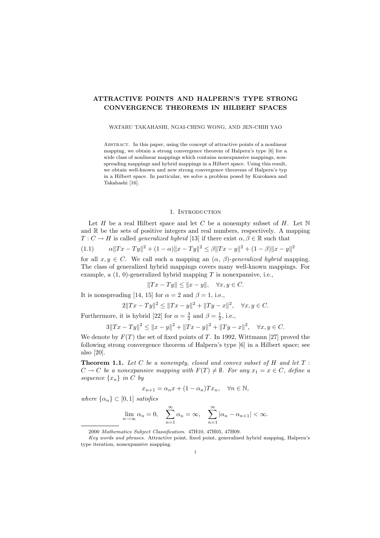# **ATTRACTIVE POINTS AND HALPERN'S TYPE STRONG CONVERGENCE THEOREMS IN HILBERT SPACES**

#### WATARU TAKAHASHI, NGAI-CHING WONG, AND JEN-CHIH YAO

Abstract. In this paper, using the concept of attractive points of a nonlinear mapping, we obtain a strong convergence theorem of Halpern's type [6] for a wide class of nonlinear mappings which contains nonexpansive mappings, nonspreading mappings and hybrid mappings in a Hilbert space. Using this result, we obtain well-known and new strong convergence theorems of Halpern's typ in a Hilbert space. In particular, we solve a problem posed by Kurokawa and Takahashi [16].

### 1. INTRODUCTION

Let *H* be a real Hilbert space and let *C* be a nonempty subset of *H*. Let  $\mathbb N$ and  $\mathbb R$  be the sets of positive integers and real numbers, respectively. A mapping  $T: C \to H$  is called *generalized hybrid* [13] if there exist  $\alpha, \beta \in \mathbb{R}$  such that

$$
(1.1) \qquad \alpha \|Tx - Ty\|^2 + (1 - \alpha) \|x - Ty\|^2 \le \beta \|Tx - y\|^2 + (1 - \beta) \|x - y\|^2
$$

for all  $x, y \in C$ . We call such a mapping an  $(\alpha, \beta)$ -generalized hybrid mapping. The class of generalized hybrid mappings covers many well-known mappings. For example, a  $(1, 0)$ -generalized hybrid mapping  $T$  is nonexpansive, i.e.,

$$
||Tx - Ty|| \le ||x - y||, \quad \forall x, y \in C.
$$

It is nonspreading [14, 15] for  $\alpha = 2$  and  $\beta = 1$ , i.e.,

$$
2||Tx - Ty||2 \le ||Tx - y||2 + ||Ty - x||2, \quad \forall x, y \in C.
$$

Furthermore, it is hybrid [22] for  $\alpha = \frac{3}{2}$  and  $\beta = \frac{1}{2}$ , i.e.,

$$
3||Tx - Ty||2 \le ||x - y||2 + ||Tx - y||2 + ||Ty - x||2, \quad \forall x, y \in C.
$$

We denote by  $F(T)$  the set of fixed points of T. In 1992, Wittmann [27] proved the following strong convergence theorem of Halpern's type [6] in a Hilbert space; see also [20].

**Theorem 1.1.** Let  $C$  be a nonempty, closed and convex subset of  $H$  and let  $T$ :  $C \rightarrow C$  *be a nonexpansive mapping with*  $F(T) \neq \emptyset$ *. For any*  $x_1 = x \in C$ *, define a sequence*  $\{x_n\}$  *in C by* 

$$
x_{n+1} = \alpha_n x + (1 - \alpha_n) T x_n, \quad \forall n \in \mathbb{N},
$$

*where*  $\{\alpha_n\} \subset [0,1]$  *satisfies* 

$$
\lim_{n \to \infty} \alpha_n = 0, \quad \sum_{n=1}^{\infty} \alpha_n = \infty, \quad \sum_{n=1}^{\infty} |\alpha_n - \alpha_{n+1}| < \infty.
$$

<sup>2000</sup> *Mathematics Subject Classification.* 47H10, 47H05, 47H09.

*Key words and phrases.* Attractive point, fixed point, generalized hybrid mapping, Halpern's type iteration, nonexpansive mapping.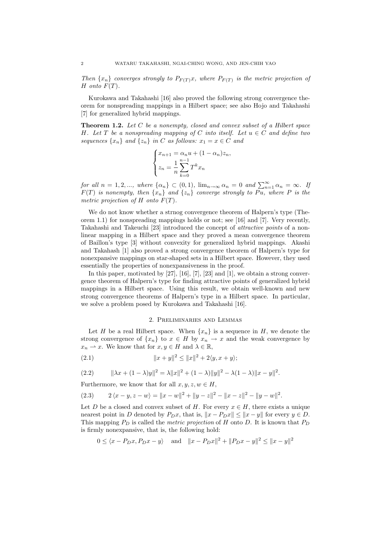*Then*  $\{x_n\}$  *converges strongly to*  $P_{F(T)}x$ *, where*  $P_{F(T)}$  *is the metric projection of H onto*  $F(T)$ *.* 

Kurokawa and Takahashi [16] also proved the following strong convergence theorem for nonspreading mappings in a Hilbert space; see also Hojo and Takahashi [7] for generalized hybrid mappings.

**Theorem 1.2.** *Let C be a nonempty, closed and convex subset of a Hilbert space H.* Let *T* be a nonspreading mapping of *C* into itself. Let  $u \in C$  and define two *sequences*  $\{x_n\}$  *and*  $\{z_n\}$  *in C as follows:*  $x_1 = x \in C$  *and* 

$$
\begin{cases} x_{n+1} = \alpha_n u + (1 - \alpha_n) z_n, \\ z_n = \frac{1}{n} \sum_{k=0}^{n-1} T^k x_n \end{cases}
$$

for all  $n = 1, 2, ...$ , where  $\{\alpha_n\} \subset (0, 1)$ ,  $\lim_{n \to \infty} \alpha_n = 0$  and  $\sum_{n=1}^{\infty} \alpha_n = \infty$ . If  $F(T)$  *is nonempty, then*  $\{x_n\}$  *and*  $\{z_n\}$  *converge strongly to*  $Pu$ *, where*  $P$  *is the metric projection of*  $H$  *onto*  $F(T)$ *.* 

We do not know whether a strnog convergence theorem of Halpern's type (Theorem 1.1) for nonspreading mappings holds or not; see [16] and [7]. Very recently, Takahashi and Takeuchi [23] introduced the concept of *attractive points* of a nonlinear mapping in a Hilbert space and they proved a mean convergence theorem of Baillon's type [3] without convexity for generalized hybrid mappings. Akashi and Takahash [1] also proved a strong convergence theorem of Halpern's type for nonexpansive mappings on star-shaped sets in a Hilbert space. However, they used essentially the properties of nonexpansiveness in the proof.

In this paper, motivated by [27], [16], [7], [23] and [1], we obtain a strong convergence theorem of Halpern's type for finding attractive points of generalized hybrid mappings in a Hilbert space. Using this result, we obtain well-known and new strong convergence theorems of Halpern's type in a Hilbert space. In particular, we solve a problem posed by Kurokawa and Takahashi [16].

## 2. Preliminaries and Lemmas

Let *H* be a real Hilbert space. When  $\{x_n\}$  is a sequence in *H*, we denote the strong convergence of  $\{x_n\}$  to  $x \in H$  by  $x_n \to x$  and the weak convergence by  $x_n \rightharpoonup x$ . We know that for  $x, y \in H$  and  $\lambda \in \mathbb{R}$ ,

(2.1) 
$$
||x + y||^2 \le ||x||^2 + 2\langle y, x + y \rangle;
$$

(2.2) 
$$
\|\lambda x + (1 - \lambda)y\|^2 = \lambda \|x\|^2 + (1 - \lambda)\|y\|^2 - \lambda(1 - \lambda)\|x - y\|^2.
$$

Furthermore, we know that for all  $x, y, z, w \in H$ ,

$$
(2.3) \qquad 2\langle x-y, z-w\rangle = \|x-w\|^2 + \|y-z\|^2 - \|x-z\|^2 - \|y-w\|^2.
$$

Let *D* be a closed and convex subset of *H*. For every  $x \in H$ , there exists a unique nearest point in *D* denoted by  $P_D x$ , that is,  $||x - P_D x|| \le ||x - y||$  for every  $y \in D$ . This mapping *P<sup>D</sup>* is called the *metric projection* of *H* onto *D*. It is known that *P<sup>D</sup>* is firmly nonexpansive, that is, the following hold:

$$
0 \le \langle x - P_D x, P_D x - y \rangle
$$
 and  $||x - P_D x||^2 + ||P_D x - y||^2 \le ||x - y||^2$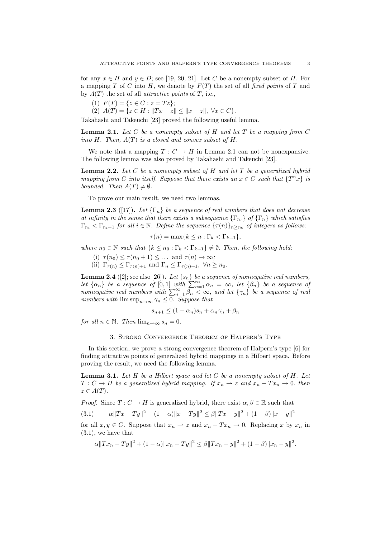for any  $x \in H$  and  $y \in D$ ; see [19, 20, 21]. Let C be a nonempty subset of H. For a mapping *T* of *C* into *H*, we denote by *F*(*T*) the set of all *fixed points* of *T* and by *A*(*T*) the set of all *attractive points* of *T*, i.e.,

- $F(T) = \{z \in C : z = Tz\};$
- $\mathcal{A}(T) = \{z \in H : ||Tx z|| < ||x z||, \ \forall x \in C\}.$

Takahashi and Takeuchi [23] proved the following useful lemma.

**Lemma 2.1.** Let C be a nonempty subset of H and let T be a mapping from C *into H. Then, A*(*T*) *is a closed and convex subset of H.*

We note that a mapping  $T: C \to H$  in Lemma 2.1 can not be nonexpansive. The following lemma was also proved by Takahashi and Takeuchi [23].

**Lemma 2.2.** *Let C be a nonempty subset of H and let T be a generalized hybrid mapping from C into itself.* Suppose that there exists an  $x \in C$  such that  $\{T^n x\}$  *is bounded. Then*  $A(T) \neq \emptyset$ *.* 

To prove our main result, we need two lemmas.

**Lemma 2.3** ([17]). Let  $\{\Gamma_n\}$  be a sequence of real numbers that does not decrease *at infinity in the sense that there exists a subsequence*  ${\{\Gamma_{n_i}\}}$  *of*  ${\{\Gamma_n\}}$  *which satisfies*  $\Gamma_{n_i} < \Gamma_{n_i+1}$  *for all*  $i \in \mathbb{N}$ *. Define the sequence*  $\{\tau(n)\}_{n \geq n_0}$  *of integers as follows:* 

$$
\tau(n) = \max\{k \le n : \Gamma_k < \Gamma_{k+1}\},\
$$

*where*  $n_0 \in \mathbb{N}$  *such that*  $\{k \leq n_0 : \Gamma_k < \Gamma_{k+1}\} \neq \emptyset$ . Then, the following hold:

- (i)  $\tau(n_0) \leq \tau(n_0 + 1) \leq \ldots$  and  $\tau(n) \to \infty$ ;
- (ii)  $\Gamma_{\tau(n)} \leq \Gamma_{\tau(n)+1}$  and  $\Gamma_n \leq \Gamma_{\tau(n)+1}$ ,  $\forall n \geq n_0$ .

**Lemma 2.4** ([2]; see also [26]). Let  $\{s_n\}$  be a sequence of nonnegative real numbers, *let*  $\{\alpha_n\}$  *be a sequence of* [0,1] *with*  $\sum_{n=1}^{\infty} \alpha_n = \infty$ , *let*  $\{\beta_n\}$  *be a sequence of nonnegative real numbers with*  $\sum_{n=1}^{\infty} \beta_n < \infty$ , and let  $\{\gamma_n\}$  be a sequence of real *numbers with*  $\limsup_{n\to\infty} \gamma_n \leq 0$ *. Suppose that* 

$$
s_{n+1} \le (1 - \alpha_n)s_n + \alpha_n \gamma_n + \beta_n
$$

*for all*  $n \in \mathbb{N}$ *. Then*  $\lim_{n \to \infty} s_n = 0$ *.* 

### 3. Strong Convergence Theorem of Halpern's Type

In this section, we prove a strong convergence theorem of Halpern's type [6] for finding attractive points of generalized hybrid mappings in a Hilbert space. Before proving the result, we need the following lemma.

**Lemma 3.1.** *Let H be a Hilbert space and let C be a nonempty subset of H. Let*  $T: C \to H$  *be a generalized hybrid mapping. If*  $x_n \to z$  *and*  $x_n - Tx_n \to 0$ *, then*  $z \in A(T)$ .

*Proof.* Since  $T: C \to H$  is generalized hybrid, there exist  $\alpha, \beta \in \mathbb{R}$  such that

(3.1)  $\alpha ||Tx - Ty||^2 + (1 - \alpha) ||x - Ty||^2 \leq \beta ||Tx - y||^2 + (1 - \beta) ||x - y||^2$ 

for all  $x, y \in C$ . Suppose that  $x_n \to z$  and  $x_n - Tx_n \to 0$ . Replacing *x* by  $x_n$  in (3.1), we have that

$$
\alpha \|Tx_n - Ty\|^2 + (1 - \alpha) \|x_n - Ty\|^2 \le \beta \|Tx_n - y\|^2 + (1 - \beta) \|x_n - y\|^2.
$$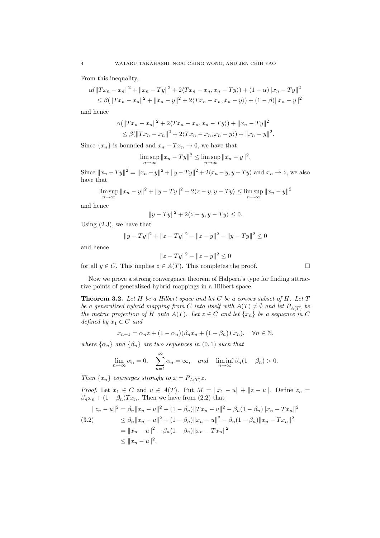From this inequality,

$$
\alpha(||Tx_n - x_n||^2 + ||x_n - Ty||^2 + 2\langle Tx_n - x_n, x_n - Ty \rangle) + (1 - \alpha)||x_n - Ty||^2
$$
  
\n
$$
\leq \beta(||Tx_n - x_n||^2 + ||x_n - y||^2 + 2\langle Tx_n - x_n, x_n - y \rangle) + (1 - \beta)||x_n - y||^2
$$

and hence

$$
\alpha(||Tx_n - x_n||^2 + 2\langle Tx_n - x_n, x_n - Ty \rangle) + ||x_n - Ty||^2
$$
  
\n
$$
\leq \beta(||Tx_n - x_n||^2 + 2\langle Tx_n - x_n, x_n - y \rangle) + ||x_n - y||^2.
$$

Since  $\{x_n\}$  is bounded and  $x_n - Tx_n \to 0$ , we have that

$$
\limsup_{n \to \infty} ||x_n - Ty||^2 \le \limsup_{n \to \infty} ||x_n - y||^2.
$$

Since  $||x_n - Ty||^2 = ||x_n - y||^2 + ||y - Ty||^2 + 2\langle x_n - y, y - Ty \rangle$  and  $x_n \to z$ , we also have that

$$
\limsup_{n \to \infty} ||x_n - y||^2 + ||y - Ty||^2 + 2\langle z - y, y - Ty \rangle \le \limsup_{n \to \infty} ||x_n - y||^2
$$

and hence

$$
||y - Ty||2 + 2\langle z - y, y - Ty \rangle \le 0.
$$

Using (2.3), we have that

$$
||y - Ty||2 + ||z - Ty||2 - ||z - y||2 - ||y - Ty||2 \le 0
$$

and hence

$$
\|z-Ty\|^2 - \|z-y\|^2 \leq 0
$$

for all  $y \in C$ . This implies  $z \in A(T)$ . This completes the proof.  $\Box$ 

Now we prove a strong convergence theorem of Halpern's type for finding attractive points of generalized hybrid mappings in a Hilbert space.

**Theorem 3.2.** *Let H be a Hilbert space and let C be a convex subset of H. Let T be a generalized hybrid mapping from C into itself with*  $A(T) \neq \emptyset$  *and let*  $P_{A(T)}$  *be the metric projection of H onto*  $A(T)$ *. Let*  $z \in C$  *and let*  $\{x_n\}$  *be a sequence in C defined by*  $x_1 \in C$  *and* 

$$
x_{n+1} = \alpha_n z + (1 - \alpha_n)(\beta_n x_n + (1 - \beta_n)Tx_n), \quad \forall n \in \mathbb{N},
$$

*where*  $\{\alpha_n\}$  *and*  $\{\beta_n\}$  *are two sequences in*  $(0,1)$  *such that* 

$$
\lim_{n \to \infty} \alpha_n = 0, \quad \sum_{n=1}^{\infty} \alpha_n = \infty, \quad \text{and} \quad \liminf_{n \to \infty} \beta_n (1 - \beta_n) > 0.
$$

*Then*  $\{x_n\}$  *converges strongly to*  $\bar{x} = P_{A(T)}z$ *.* 

*Proof.* Let  $x_1 \in C$  and  $u \in A(T)$ . Put  $M = ||x_1 - u|| + ||z - u||$ . Define  $z_n =$  $\beta_n x_n + (1 - \beta_n) T x_n$ . Then we have from (2.2) that

$$
||z_n - u||^2 = \beta_n ||x_n - u||^2 + (1 - \beta_n) ||Tx_n - u||^2 - \beta_n (1 - \beta_n) ||x_n - Tx_n||^2
$$
  
(3.2)  

$$
\leq \beta_n ||x_n - u||^2 + (1 - \beta_n) ||x_n - u||^2 - \beta_n (1 - \beta_n) ||x_n - Tx_n||^2
$$
  

$$
= ||x_n - u||^2 - \beta_n (1 - \beta_n) ||x_n - Tx_n||^2
$$
  

$$
\leq ||x_n - u||^2.
$$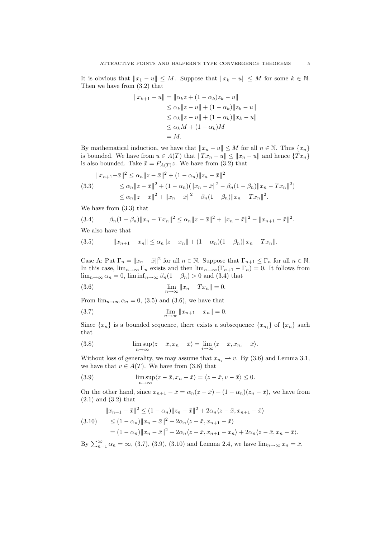It is obvious that  $||x_1 - u|| \leq M$ . Suppose that  $||x_k - u|| \leq M$  for some  $k \in \mathbb{N}$ . Then we have from (3.2) that

$$
||x_{k+1} - u|| = ||\alpha_k z + (1 - \alpha_k)z_k - u||
$$
  
\n
$$
\leq \alpha_k ||z - u|| + (1 - \alpha_k) ||z_k - u||
$$
  
\n
$$
\leq \alpha_k ||z - u|| + (1 - \alpha_k) ||x_k - u||
$$
  
\n
$$
\leq \alpha_k M + (1 - \alpha_k)M
$$
  
\n
$$
= M.
$$

By mathematical induction, we have that  $||x_n - u|| \leq M$  for all  $n \in \mathbb{N}$ . Thus  $\{x_n\}$ is bounded. We have from  $u \in A(T)$  that  $||Tx_n - u|| \le ||x_n - u||$  and hence  $\{Tx_n\}$ is also bounded. Take  $\bar{x} = P_{A(T)}z$ . We have from (3.2) that

$$
||x_{n+1} - \bar{x}||^2 \le \alpha_n ||z - \bar{x}||^2 + (1 - \alpha_n) ||z_n - \bar{x}||^2
$$
  
(3.3)  

$$
\le \alpha_n ||z - \bar{x}||^2 + (1 - \alpha_n)(||x_n - \bar{x}||^2 - \beta_n(1 - \beta_n) ||x_n - Tx_n||^2)
$$
  

$$
\le \alpha_n ||z - \bar{x}||^2 + ||x_n - \bar{x}||^2 - \beta_n(1 - \beta_n) ||x_n - Tx_n||^2.
$$

We have from (3.3) that

$$
(3.4) \qquad \beta_n(1-\beta_n)\|x_n-Tx_n\|^2 \leq \alpha_n\|z-\bar{x}\|^2 + \|x_n-\bar{x}\|^2 - \|x_{n+1}-\bar{x}\|^2.
$$

We also have that

(3.5) 
$$
||x_{n+1} - x_n|| \le \alpha_n ||z - x_n|| + (1 - \alpha_n)(1 - \beta_n) ||x_n - Tx_n||.
$$

Case A: Put  $\Gamma_n = ||x_n - \bar{x}||^2$  for all  $n \in \mathbb{N}$ . Suppose that  $\Gamma_{n+1} \leq \Gamma_n$  for all  $n \in \mathbb{N}$ . In this case,  $\lim_{n\to\infty} \overline{\Gamma}_n$  exists and then  $\lim_{n\to\infty} (\Gamma_{n+1} - \Gamma_n) = 0$ . It follows from  $\lim_{n\to\infty} \alpha_n = 0, \liminf_{n\to\infty} \beta_n (1 - \beta_n) > 0 \text{ and } (3.4) \text{ that}$ 

(3.6) 
$$
\lim_{n \to \infty} ||x_n - Tx_n|| = 0.
$$

From  $\lim_{n\to\infty} \alpha_n = 0$ , (3.5) and (3.6), we have that

(3.7) 
$$
\lim_{n \to \infty} ||x_{n+1} - x_n|| = 0.
$$

Since  $\{x_n\}$  is a bounded sequence, there exists a subsequence  $\{x_{n_i}\}$  of  $\{x_n\}$  such that

(3.8) 
$$
\limsup_{n \to \infty} \langle z - \bar{x}, x_n - \bar{x} \rangle = \lim_{i \to \infty} \langle z - \bar{x}, x_{n_i} - \bar{x} \rangle.
$$

Without loss of generality, we may assume that  $x_{n_i} \rightharpoonup v$ . By (3.6) and Lemma 3.1, we have that  $v \in A(T)$ . We have from (3.8) that

(3.9) 
$$
\limsup_{n \to \infty} \langle z - \bar{x}, x_n - \bar{x} \rangle = \langle z - \bar{x}, v - \bar{x} \rangle \le 0.
$$

On the other hand, since  $x_{n+1} - \bar{x} = \alpha_n(z - \bar{x}) + (1 - \alpha_n)(z_n - \bar{x})$ , we have from (2.1) and (3.2) that

$$
||x_{n+1} - \bar{x}||^2 \le (1 - \alpha_n) ||z_n - \bar{x}||^2 + 2\alpha_n \langle z - \bar{x}, x_{n+1} - \bar{x} \rangle
$$

(3.10) 
$$
\leq (1 - \alpha_n) \|x_n - \bar{x}\|^2 + 2\alpha_n \langle z - \bar{x}, x_{n+1} - \bar{x} \rangle
$$

$$
= (1 - \alpha_n) \|x_n - \bar{x}\|^2 + 2\alpha_n \langle z - \bar{x}, x_{n+1} - x_n \rangle + 2\alpha_n \langle z - \bar{x}, x_n - \bar{x} \rangle.
$$

By  $\sum_{n=1}^{\infty} \alpha_n = \infty$ , (3.7), (3.9), (3.10) and Lemma 2.4, we have  $\lim_{n \to \infty} x_n = \bar{x}$ .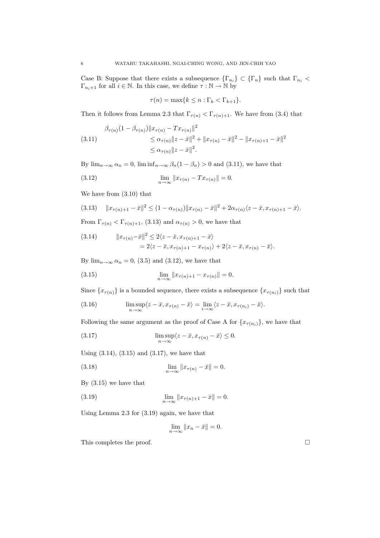Case B: Suppose that there exists a subsequence  $\{\Gamma_{n_i}\}\subset \{\Gamma_n\}$  such that  $\Gamma_{n_i}$  $\Gamma_{n_i+1}$  for all  $i \in \mathbb{N}$ . In this case, we define  $\tau : \mathbb{N} \to \mathbb{N}$  by

$$
\tau(n) = \max\{k \le n : \Gamma_k < \Gamma_{k+1}\}.
$$

Then it follows from Lemma 2.3 that  $\Gamma_{\tau(n)} < \Gamma_{\tau(n)+1}$ . We have from (3.4) that

$$
\beta_{\tau(n)}(1 - \beta_{\tau(n)}) \|x_{\tau(n)} - Tx_{\tau(n)}\|^2
$$
  
\n
$$
\leq \alpha_{\tau(n)} \|z - \bar{x}\|^2 + \|x_{\tau(n)} - \bar{x}\|^2 - \|x_{\tau(n)+1} - \bar{x}\|^2
$$
  
\n
$$
\leq \alpha_{\tau(n)} \|z - \bar{x}\|^2.
$$

By  $\lim_{n\to\infty} \alpha_n = 0$ ,  $\liminf_{n\to\infty} \beta_n(1-\beta_n) > 0$  and (3.11), we have that

(3.12) 
$$
\lim_{n \to \infty} ||x_{\tau(n)} - Tx_{\tau(n)}|| = 0.
$$

We have from (3.10) that

$$
(3.13) \quad ||x_{\tau(n)+1} - \bar{x}||^2 \le (1 - \alpha_{\tau(n)}) ||x_{\tau(n)} - \bar{x}||^2 + 2\alpha_{\tau(n)} \langle z - \bar{x}, x_{\tau(n)+1} - \bar{x} \rangle.
$$

From  $\Gamma_{\tau(n)} < \Gamma_{\tau(n)+1}$ , (3.13) and  $\alpha_{\tau(n)} > 0$ , we have that

(3.14) 
$$
||x_{\tau(n)} - \bar{x}||^2 \leq 2\langle z - \bar{x}, x_{\tau(n)+1} - \bar{x}\rangle
$$

$$
= 2\langle z - \bar{x}, x_{\tau(n)+1} - x_{\tau(n)}\rangle + 2\langle z - \bar{x}, x_{\tau(n)} - \bar{x}\rangle.
$$

By  $\lim_{n\to\infty} \alpha_n = 0$ , (3.5) and (3.12), we have that

(3.15) 
$$
\lim_{n \to \infty} ||x_{\tau(n)+1} - x_{\tau(n)}|| = 0.
$$

Since  $\{x_{\tau(n)}\}$  is a bounded sequence, there exists a subsequence  $\{x_{\tau(n_i)}\}$  such that

(3.16) 
$$
\limsup_{n \to \infty} \langle z - \bar{x}, x_{\tau(n)} - \bar{x} \rangle = \lim_{i \to \infty} \langle z - \bar{x}, x_{\tau(n_i)} - \bar{x} \rangle.
$$

Following the same argument as the proof of Case A for  $\{x_{\tau(n_i)}\}$ , we have that

(3.17) 
$$
\limsup_{n \to \infty} \langle z - \bar{x}, x_{\tau(n)} - \bar{x} \rangle \leq 0.
$$

Using  $(3.14)$ ,  $(3.15)$  and  $(3.17)$ , we have that

(3.18) 
$$
\lim_{n \to \infty} ||x_{\tau(n)} - \bar{x}|| = 0.
$$

By (3.15) we have that

(3.19) 
$$
\lim_{n \to \infty} ||x_{\tau(n)+1} - \bar{x}|| = 0.
$$

Using Lemma 2.3 for (3.19) again, we have that

$$
\lim_{n \to \infty} ||x_n - \bar{x}|| = 0.
$$

This completes the proof.  $\Box$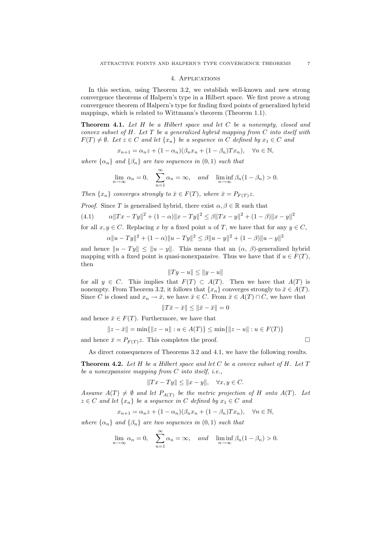### 4. Applications

In this section, using Theorem 3.2, we establish well-known and new strong convergence theorems of Halpern's type in a Hilbert space. We first prove a strong convergence theorem of Halpern's type for finding fixed points of generalized hybrid mappings, which is related to Wittmann's theorem (Theorem 1.1).

**Theorem 4.1.** *Let H be a Hilbert space and let C be a nonempty, closed and convex subset of H. Let T be a generalized hybrid mapping from C into itself with*  $F(T) \neq \emptyset$ . Let  $z \in C$  *and let*  $\{x_n\}$  *be a sequence in C defined by*  $x_1 \in C$  *and* 

$$
x_{n+1} = \alpha_n z + (1 - \alpha_n)(\beta_n x_n + (1 - \beta_n)Tx_n), \quad \forall n \in \mathbb{N},
$$

*where*  $\{\alpha_n\}$  *and*  $\{\beta_n\}$  *are two sequences in*  $(0,1)$  *such that* 

$$
\lim_{n \to \infty} \alpha_n = 0, \quad \sum_{n=1}^{\infty} \alpha_n = \infty, \quad \text{and} \quad \liminf_{n \to \infty} \beta_n (1 - \beta_n) > 0.
$$

*Then*  $\{x_n\}$  *converges strongly to*  $\bar{x} \in F(T)$ *, where*  $\bar{x} = P_{F(T)}z$ *.* 

*Proof.* Since T is generalised hybrid, there exist 
$$
\alpha, \beta \in \mathbb{R}
$$
 such that

$$
(4.1) \qquad \alpha \|Tx - Ty\|^2 + (1 - \alpha) \|x - Ty\|^2 \le \beta \|Tx - y\|^2 + (1 - \beta) \|x - y\|^2
$$

for all  $x, y \in C$ . Replacing  $x$  by a fixed point  $u$  of  $T$ , we have that for any  $y \in C$ ,

$$
\alpha \|u - Ty\|^2 + (1 - \alpha) \|u - Ty\|^2 \le \beta \|u - y\|^2 + (1 - \beta) \|u - y\|^2
$$

and hence  $||u - Ty|| \le ||u - y||$ . This means that an  $(\alpha, \beta)$ -generalized hybrid mapping with a fixed point is quasi-nonexpansive. Thus we have that if  $u \in F(T)$ , then

$$
||Ty - u|| \le ||y - u||
$$

for all  $y \in C$ . This implies that  $F(T) \subset A(T)$ . Then we have that  $A(T)$  is nonempty. From Theorem 3.2, it follows that  $\{x_n\}$  converges strongly to  $\bar{x} \in A(T)$ . Since *C* is closed and  $x_n \to \bar{x}$ , we have  $\bar{x} \in C$ . From  $\bar{x} \in A(T) \cap C$ , we have that

$$
||T\bar{x} - \bar{x}|| \le ||\bar{x} - \bar{x}|| = 0
$$

and hence  $\bar{x} \in F(T)$ . Furthermore, we have that

$$
||z - \bar{x}|| = \min{||z - u|| : u \in A(T)} \le \min{||z - u|| : u \in F(T)}
$$

and hence  $\bar{x} = P_{F(T)}z$ . This completes the proof.  $\square$ 

As direct consequences of Theorems 3.2 and 4.1, we have the following results.

**Theorem 4.2.** *Let H be a Hilbert space and let C be a convex subset of H. Let T be a nonexpansive mapping from C into itself, i.e.,*

$$
||Tx - Ty|| \le ||x - y||, \quad \forall x, y \in C.
$$

*Assume*  $A(T) \neq \emptyset$  *and let*  $P_{A(T)}$  *be the metric projection of H onto*  $A(T)$ *. Let*  $z \in C$  *and let*  $\{x_n\}$  *be a sequence in C defined by*  $x_1 \in C$  *and* 

$$
x_{n+1} = \alpha_n z + (1 - \alpha_n)(\beta_n x_n + (1 - \beta_n)Tx_n), \quad \forall n \in \mathbb{N},
$$

*where*  $\{\alpha_n\}$  *and*  $\{\beta_n\}$  *are two sequences in*  $(0,1)$  *such that* 

$$
\lim_{n \to \infty} \alpha_n = 0, \quad \sum_{n=1}^{\infty} \alpha_n = \infty, \quad \text{and} \quad \liminf_{n \to \infty} \beta_n (1 - \beta_n) > 0.
$$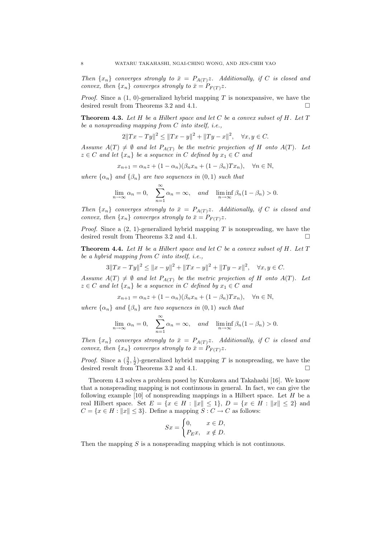*Then*  $\{x_n\}$  *converges strongly to*  $\bar{x} = P_{A(T)}z$ *. Additionally, if C is closed and convex, then*  $\{x_n\}$  *converges strongly to*  $\bar{x} = P_{F(T)}z$ *.* 

*Proof.* Since a  $(1, 0)$ -generalized hybrid mapping T is nonexpansive, we have the desired result from Theorems 3.2 and 4.1.  $\Box$ 

**Theorem 4.3.** *Let H be a Hilbert space and let C be a convex subset of H. Let T be a nonspreading mapping from C into itself, i.e.,*

$$
2||Tx - Ty||2 \le ||Tx - y||2 + ||Ty - x||2, \quad \forall x, y \in C.
$$

*Assume*  $A(T) \neq \emptyset$  *and let*  $P_{A(T)}$  *be the metric projection of H onto*  $A(T)$ *. Let*  $z \in C$  *and let*  $\{x_n\}$  *be a sequence in C defined by*  $x_1 \in C$  *and* 

$$
x_{n+1} = \alpha_n z + (1 - \alpha_n)(\beta_n x_n + (1 - \beta_n)Tx_n), \quad \forall n \in \mathbb{N},
$$

*where*  $\{\alpha_n\}$  *and*  $\{\beta_n\}$  *are two sequences in*  $(0,1)$  *such that* 

$$
\lim_{n \to \infty} \alpha_n = 0, \quad \sum_{n=1}^{\infty} \alpha_n = \infty, \quad \text{and} \quad \liminf_{n \to \infty} \beta_n (1 - \beta_n) > 0.
$$

*Then*  $\{x_n\}$  *converges strongly to*  $\bar{x} = P_{A(T)}z$ *. Additionally, if C is closed and convex, then*  $\{x_n\}$  *converges strongly to*  $\bar{x} = P_{F(T)}z$ *.* 

*Proof.* Since a  $(2, 1)$ -generalized hybrid mapping T is nonspreading, we have the desired result from Theorems 3.2 and 4.1.

**Theorem 4.4.** *Let H be a Hilbert space and let C be a convex subset of H. Let T be a hybrid mapping from C into itself, i.e.,*

$$
3||Tx - Ty||2 \le ||x - y||2 + ||Tx - y||2 + ||Ty - x||2, \quad \forall x, y \in C.
$$

*Assume*  $A(T) \neq \emptyset$  *and let*  $P_{A(T)}$  *be the metric projection of H onto*  $A(T)$ *. Let*  $z \in C$  *and let*  $\{x_n\}$  *be a sequence in C defined by*  $x_1 \in C$  *and* 

$$
x_{n+1} = \alpha_n z + (1 - \alpha_n)(\beta_n x_n + (1 - \beta_n)Tx_n), \quad \forall n \in \mathbb{N},
$$

*where*  $\{\alpha_n\}$  *and*  $\{\beta_n\}$  *are two sequences in*  $(0,1)$  *such that* 

$$
\lim_{n \to \infty} \alpha_n = 0, \quad \sum_{n=1}^{\infty} \alpha_n = \infty, \quad \text{and} \quad \liminf_{n \to \infty} \beta_n (1 - \beta_n) > 0.
$$

*Then*  $\{x_n\}$  *converges strongly to*  $\bar{x} = P_{A(T)}z$ *. Additionally, if C is closed and convex, then*  $\{x_n\}$  *converges strongly to*  $\bar{x} = P_{F(T)}z$ *.* 

*Proof.* Since a  $(\frac{3}{2}, \frac{1}{2})$ -generalized hybrid mapping *T* is nonspreading, we have the desired result from Theorems 3.2 and 4.1.  $\Box$ 

Theorem 4.3 solves a problem posed by Kurokawa and Takahashi [16]. We know that a nonspreading mapping is not continuous in general. In fact, we can give the following example [10] of nonspreading mappings in a Hilbert space. Let *H* be a real Hilbert space. Set  $E = \{x \in H : ||x|| \leq 1\}$ ,  $D = \{x \in H : ||x|| \leq 2\}$  and  $C = \{x \in H : ||x|| \leq 3\}$ . Define a mapping  $S : C \to C$  as follows:

$$
Sx = \begin{cases} 0, & x \in D, \\ P_{E}x, & x \notin D. \end{cases}
$$

Then the mapping *S* is a nonspreading mapping which is not continuous.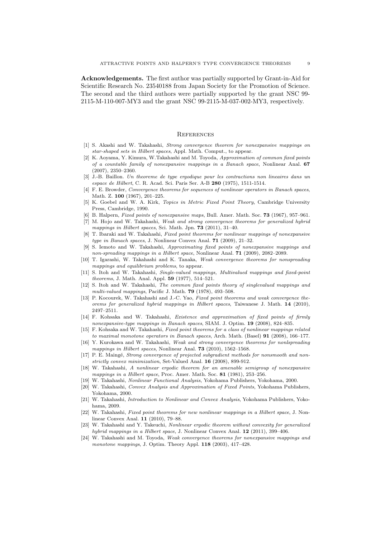**Acknowledgements.** The first author was partially supported by Grant-in-Aid for Scientific Research No. 23540188 from Japan Society for the Promotion of Science. The second and the third authors were partially supported by the grant NSC 99- 2115-M-110-007-MY3 and the grant NSC 99-2115-M-037-002-MY3, respectively.

#### **REFERENCES**

- [1] S. Akashi and W. Takahashi, *Strong convergence theorem for nonexpansive mappings on star-shaped sets in Hilbert spaces*, Appl. Math. Comput., to appear.
- [2] K. Aoyama, Y. Kimura, W.Takahashi and M. Toyoda, *Approximation of common fixed points of a countable family of nonexpansive mappings in a Banach space*, Nonlinear Anal. **67** (2007), 2350–2360.
- [3] J.-B. Baillon. *Un theoreme de type ergodique pour les contractions non lineaires dans un espace de Hilbert*, C. R. Acad. Sci. Paris Ser. A-B **280** (1975), 1511-1514.
- [4] F. E. Browder, *Convergence theorems for sequences of nonlinear operators in Banach spaces*, Math. Z. **100** (1967), 201–225.
- [5] K. Goebel and W. A. Kirk, *Topics in Metric Fixed Point Theory*, Cambridge University Press, Cambridge, 1990.
- [6] B. Halpern, *Fixed points of nonexpansive maps*, Bull. Amer. Math. Soc. **73** (1967), 957–961.
- [7] M. Hojo and W. Takahashi, *Weak and strong convergence theorems for generalized hybrid mappings in Hilbert spaces*, Sci. Math. Jpn. **73** (2011), 31–40.
- [8] T. Ibaraki and W. Takahashi, *Fixed point theorems for nonlinear mappings of nonexpansive type in Banach spaces*, J. Nonlinear Convex Anal. **71** (2009), 21–32.
- [9] S. Iemoto and W. Takahashi, *Approximating fixed points of nonexpansive mappings and non-spreading mappings in a Hilbert space*, Nonlinear Anal. **71** (2009), 2082–2089.
- [10] T. Igarashi, W. Takahashi and K. Tanaka, *Weak convergence theorems for nonspreading mappings and equilibrium problems*, to appear.
- [11] S. Itoh and W. Takahashi, *Single-valued mappings, Multivalued mappings and fixed-point theorems*, J. Math. Anal. Appl. **59** (1977), 514–521.
- [12] S. Itoh and W. Takahashi, *The common fixed points theory of singlevalued mappings and multi-valued mappings*, Pacific J. Math. **79** (1978), 493–508.
- [13] P. Kocourek, W. Takahashi and J.-C. Yao, *Fixed point theorems and weak convergence theorems for generalized hybrid mappings in Hilbert spaces*, Taiwanese J. Math. **14** (2010), 2497–2511.
- [14] F. Kohsaka and W. Takahashi, *Existence and approximation of fixed points of firmly nonexpansive-type mappings in Banach spaces*, SIAM. J. Optim. **19** (2008), 824–835.
- [15] F. Kohsaka and W. Takahashi, *Fixed point theorems for a class of nonlinear mappings related to maximal monotone operators in Banach spaces*, Arch. Math. (Basel) **91** (2008), 166–177.
- [16] Y. Kurokawa and W. Takahashi, *Weak and strong convergence theorems for nonlspreading mappings in Hilbert spaces*, Nonlinear Anal. **73** (2010), 1562–1568.
- [17] P. E. Maingé, *Strong convergence of projected subgradient methods for nonsmooth and nonstrictly convex minimization*, Set-Valued Anal. **16** (2008), 899-912.
- [18] W. Takahashi, *A nonlinear ergodic theorem for an amenable semigroup of nonexpansive mappings in a Hilbert space*, Proc. Amer. Math. Soc. **81** (1981), 253–256.
- [19] W. Takahashi, *Nonlinear Functional Analysis*, Yokohama Publishers, Yokohama, 2000.
- [20] W. Takahashi, *Convex Analysis and Approximation of Fixed Points*, Yokohama Publishers, Yokohama, 2000.
- [21] W. Takahashi, *Introduction to Nonlinear and Convex Analysis*, Yokohama Publishers, Yokohama, 2009.
- [22] W. Takahashi, *Fixed point theorems for new nonlinear mappings in a Hilbert space*, J. Nonlinear Convex Anal. **11** (2010), 79–88.
- [23] W. Takahashi and Y. Takeuchi, *Nonlinear ergodic theorem without convexity for generalized hybrid mappings in a Hilbert space*, J. Nonlinear Convex Anal. **12** (2011), 399–406.
- [24] W. Takahashi and M. Toyoda, *Weak convergence theorems for nonexpansive mappings and monotone mappings*, J. Optim. Theory Appl. **118** (2003), 417–428.